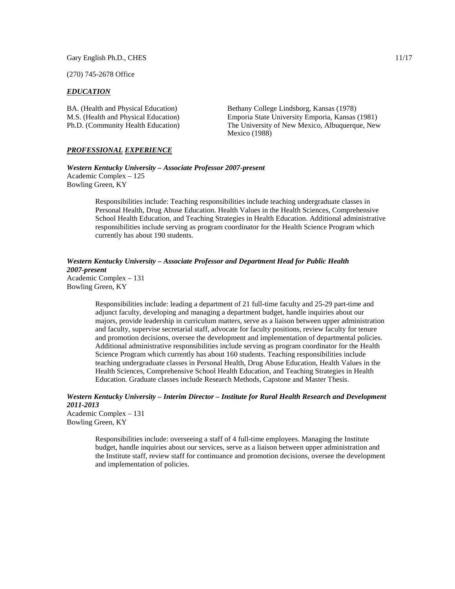Gary English Ph.D., CHES 11/17

(270) 745-2678 Office

#### *EDUCATION*

BA. (Health and Physical Education) Bethany College Lindsborg, Kansas (1978) M.S. (Health and Physical Education) Emporia State University Emporia, Kansas (1981) Ph.D. (Community Health Education) The University of New Mexico, Albuquerque, New Mexico (1988)

## *PROFESSIONAL EXPERIENCE*

*Western Kentucky University – Associate Professor 2007-present* Academic Complex – 125 Bowling Green, KY

> Responsibilities include: Teaching responsibilities include teaching undergraduate classes in Personal Health, Drug Abuse Education. Health Values in the Health Sciences, Comprehensive School Health Education, and Teaching Strategies in Health Education. Additional administrative responsibilities include serving as program coordinator for the Health Science Program which currently has about 190 students.

*Western Kentucky University – Associate Professor and Department Head for Public Health 2007-present* Academic Complex – 131 Bowling Green, KY

Responsibilities include: leading a department of 21 full-time faculty and 25-29 part-time and adjunct faculty, developing and managing a department budget, handle inquiries about our majors, provide leadership in curriculum matters, serve as a liaison between upper administration and faculty, supervise secretarial staff, advocate for faculty positions, review faculty for tenure and promotion decisions, oversee the development and implementation of departmental policies. Additional administrative responsibilities include serving as program coordinator for the Health Science Program which currently has about 160 students. Teaching responsibilities include teaching undergraduate classes in Personal Health, Drug Abuse Education, Health Values in the Health Sciences, Comprehensive School Health Education, and Teaching Strategies in Health Education. Graduate classes include Research Methods, Capstone and Master Thesis.

*Western Kentucky University – Interim Director – Institute for Rural Health Research and Development 2011-2013* Academic Complex – 131

Bowling Green, KY

Responsibilities include: overseeing a staff of 4 full-time employees. Managing the Institute budget, handle inquiries about our services, serve as a liaison between upper administration and the Institute staff, review staff for continuance and promotion decisions, oversee the development and implementation of policies.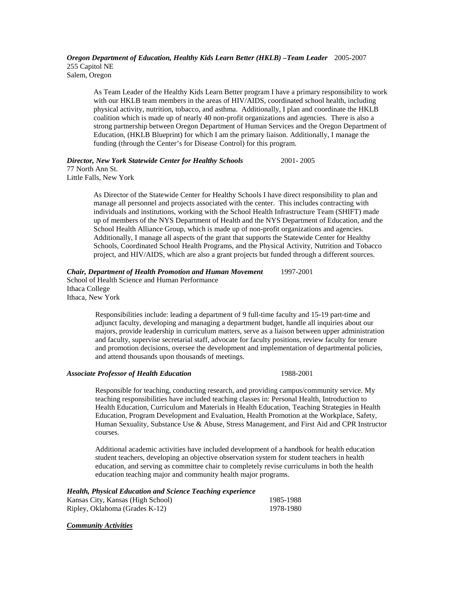*Oregon Department of Education, Healthy Kids Learn Better (HKLB) –Team Leader* 2005-2007 255 Capitol NE Salem, Oregon

As Team Leader of the Healthy Kids Learn Better program I have a primary responsibility to work with our HKLB team members in the areas of HIV/AIDS, coordinated school health, including physical activity, nutrition, tobacco, and asthma. Additionally, I plan and coordinate the HKLB coalition which is made up of nearly 40 non-profit organizations and agencies. There is also a strong partnership between Oregon Department of Human Services and the Oregon Department of Education, (HKLB Blueprint) for which I am the primary liaison. Additionally, I manage the funding (through the Center's for Disease Control) for this program.

# *Director, New York Statewide Center for Healthy Schools* 2001- 2005

77 North Ann St. Little Falls, New York

> As Director of the Statewide Center for Healthy Schools I have direct responsibility to plan and manage all personnel and projects associated with the center. This includes contracting with individuals and institutions, working with the School Health Infrastructure Team (SHIFT) made up of members of the NYS Department of Health and the NYS Department of Education, and the School Health Alliance Group, which is made up of non-profit organizations and agencies. Additionally, I manage all aspects of the grant that supports the Statewide Center for Healthy Schools, Coordinated School Health Programs, and the Physical Activity, Nutrition and Tobacco project, and HIV/AIDS, which are also a grant projects but funded through a different sources.

# *Chair, Department of Health Promotion and Human Movement* 1997-2001

School of Health Science and Human Performance Ithaca College Ithaca, New York

> Responsibilities include: leading a department of 9 full-time faculty and 15-19 part-time and adjunct faculty, developing and managing a department budget, handle all inquiries about our majors, provide leadership in curriculum matters, serve as a liaison between upper administration and faculty, supervise secretarial staff, advocate for faculty positions, review faculty for tenure and promotion decisions, oversee the development and implementation of departmental policies, and attend thousands upon thousands of meetings.

# *Associate Professor of Health Education* 1988-2001

Responsible for teaching, conducting research, and providing campus/community service. My teaching responsibilities have included teaching classes in: Personal Health, Introduction to Health Education, Curriculum and Materials in Health Education, Teaching Strategies in Health Education, Program Development and Evaluation, Health Promotion at the Workplace, Safety, Human Sexuality, Substance Use & Abuse, Stress Management, and First Aid and CPR Instructor courses.

Additional academic activities have included development of a handbook for health education student teachers, developing an objective observation system for student teachers in health education, and serving as committee chair to completely revise curriculums in both the health education teaching major and community health major programs.

## *Health, Physical Education and Science Teaching experience*

| Kansas City, Kansas (High School) | 1985-1988 |
|-----------------------------------|-----------|
| Ripley, Oklahoma (Grades K-12)    | 1978-1980 |

#### *Community Activities*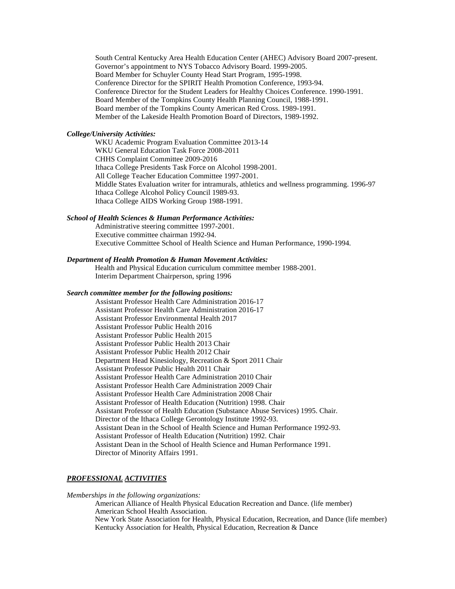South Central Kentucky Area Health Education Center (AHEC) Advisory Board 2007-present. Governor's appointment to NYS Tobacco Advisory Board. 1999-2005. Board Member for Schuyler County Head Start Program, 1995-1998. Conference Director for the SPIRIT Health Promotion Conference, 1993-94. Conference Director for the Student Leaders for Healthy Choices Conference. 1990-1991. Board Member of the Tompkins County Health Planning Council, 1988-1991. Board member of the Tompkins County American Red Cross. 1989-1991. Member of the Lakeside Health Promotion Board of Directors, 1989-1992.

## *College/University Activities:*

WKU Academic Program Evaluation Committee 2013-14 WKU General Education Task Force 2008-2011 CHHS Complaint Committee 2009-2016 Ithaca College Presidents Task Force on Alcohol 1998-2001. All College Teacher Education Committee 1997-2001. Middle States Evaluation writer for intramurals, athletics and wellness programming. 1996-97 Ithaca College Alcohol Policy Council 1989-93. Ithaca College AIDS Working Group 1988-1991.

## *School of Health Sciences & Human Performance Activities:*

Administrative steering committee 1997-2001. Executive committee chairman 1992-94. Executive Committee School of Health Science and Human Performance, 1990-1994.

#### *Department of Health Promotion & Human Movement Activities:*

Health and Physical Education curriculum committee member 1988-2001. Interim Department Chairperson, spring 1996

#### *Search committee member for the following positions:*

Assistant Professor Health Care Administration 2016-17 Assistant Professor Health Care Administration 2016-17 Assistant Professor Environmental Health 2017 Assistant Professor Public Health 2016 Assistant Professor Public Health 2015 Assistant Professor Public Health 2013 Chair Assistant Professor Public Health 2012 Chair Department Head Kinesiology, Recreation & Sport 2011 Chair Assistant Professor Public Health 2011 Chair Assistant Professor Health Care Administration 2010 Chair Assistant Professor Health Care Administration 2009 Chair Assistant Professor Health Care Administration 2008 Chair Assistant Professor of Health Education (Nutrition) 1998. Chair Assistant Professor of Health Education (Substance Abuse Services) 1995. Chair. Director of the Ithaca College Gerontology Institute 1992-93. Assistant Dean in the School of Health Science and Human Performance 1992-93. Assistant Professor of Health Education (Nutrition) 1992. Chair Assistant Dean in the School of Health Science and Human Performance 1991. Director of Minority Affairs 1991.

# *PROFESSIONAL ACTIVITIES*

*Memberships in the following organizations:*

American Alliance of Health Physical Education Recreation and Dance. (life member) American School Health Association. New York State Association for Health, Physical Education, Recreation, and Dance (life member) Kentucky Association for Health, Physical Education, Recreation & Dance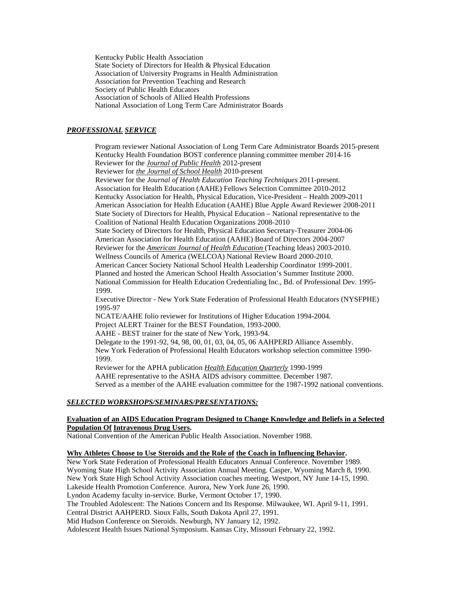Kentucky Public Health Association State Society of Directors for Health & Physical Education Association of University Programs in Health Administration Association for Prevention Teaching and Research Society of Public Health Educators Association of Schools of Allied Health Professions National Association of Long Term Care Administrator Boards

# *PROFESSIONAL SERVICE*

Program reviewer National Association of Long Term Care Administrator Boards 2015-present Kentucky Health Foundation BOST conference planning committee member 2014-16 Reviewer for the *Journal of Public Health* 2012-present Reviewer for *the Journal of School Health* 2010-present Reviewer for the *Journal of Health Education Teaching Techniques* 2011-present. Association for Health Education (AAHE) Fellows Selection Committee 2010-2012 Kentucky Association for Health, Physical Education, Vice-President – Health 2009-2011 American Association for Health Education (AAHE) Blue Apple Award Reviewer 2008-2011 State Society of Directors for Health, Physical Education – National representative to the Coalition of National Health Education Organizations 2008-2010 State Society of Directors for Health, Physical Education Secretary-Treasurer 2004-06 American Association for Health Education (AAHE) Board of Directors 2004-2007 Reviewer for the *American Journal of Health Education* (Teaching Ideas) 2003-2010. Wellness Councils of America (WELCOA) National Review Board 2000-2010. American Cancer Society National School Health Leadership Coordinator 1999-2001. Planned and hosted the American School Health Association's Summer Institute 2000. National Commission for Health Education Credentialing Inc., Bd. of Professional Dev. 1995- 1999. Executive Director - New York State Federation of Professional Health Educators (NYSFPHE) 1995-97 NCATE/AAHE folio reviewer for Institutions of Higher Education 1994-2004. Project ALERT Trainer for the BEST Foundation, 1993-2000. AAHE - BEST trainer for the state of New York, 1993-94. Delegate to the 1991-92, 94, 98, 00, 01, 03, 04, 05, 06 AAHPERD Alliance Assembly. New York Federation of Professional Health Educators workshop selection committee 1990- 1999. Reviewer for the APHA publication *Health Education Quarterly* 1990-1999 AAHE representative to the ASHA AIDS advisory committee. December 1987. Served as a member of the AAHE evaluation committee for the 1987-1992 national conventions.

#### *SELECTED WORKSHOPS/SEMINARS/PRESENTATIONS:*

## **Evaluation of an AIDS Education Program Designed to Change Knowledge and Beliefs in a Selected Population Of Intravenous Drug Users.**

National Convention of the American Public Health Association. November 1988.

#### **Why Athletes Choose to Use Steroids and the Role of the Coach in Influencing Behavior.**

New York State Federation of Professional Health Educators Annual Conference. November 1989. Wyoming State High School Activity Association Annual Meeting. Casper, Wyoming March 8, 1990. New York State High School Activity Association coaches meeting. Westport, NY June 14-15, 1990. Lakeside Health Promotion Conference. Aurora, New York June 26, 1990. Lyndon Academy faculty in-service. Burke, Vermont October 17, 1990. The Troubled Adolescent: The Nations Concern and Its Response. Milwaukee, WI. April 9-11, 1991. Central District AAHPERD. Sioux Falls, South Dakota April 27, 1991. Mid Hudson Conference on Steroids. Newburgh, NY January 12, 1992. Adolescent Health Issues National Symposium. Kansas City, Missouri February 22, 1992.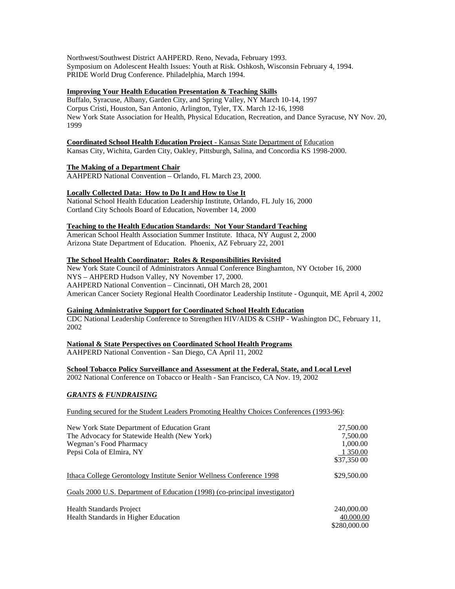Northwest/Southwest District AAHPERD. Reno, Nevada, February 1993. Symposium on Adolescent Health Issues: Youth at Risk. Oshkosh, Wisconsin February 4, 1994. PRIDE World Drug Conference. Philadelphia, March 1994.

# **Improving Your Health Education Presentation & Teaching Skills**

Buffalo, Syracuse, Albany, Garden City, and Spring Valley, NY March 10-14, 1997 Corpus Cristi, Houston, San Antonio, Arlington, Tyler, TX. March 12-16, 1998 New York State Association for Health, Physical Education, Recreation, and Dance Syracuse, NY Nov. 20, 1999

## **Coordinated School Health Education Project** - Kansas State Department of Education

Kansas City, Wichita, Garden City, Oakley, Pittsburgh, Salina, and Concordia KS 1998-2000.

# **The Making of a Department Chair**

AAHPERD National Convention – Orlando, FL March 23, 2000.

# **Locally Collected Data: How to Do It and How to Use It**

National School Health Education Leadership Institute, Orlando, FL July 16, 2000 Cortland City Schools Board of Education, November 14, 2000

## **Teaching to the Health Education Standards: Not Your Standard Teaching**

American School Health Association Summer Institute. Ithaca, NY August 2, 2000 Arizona State Department of Education. Phoenix, AZ February 22, 2001

## **The School Health Coordinator: Roles & Responsibilities Revisited**

New York State Council of Administrators Annual Conference Binghamton, NY October 16, 2000 NYS – AHPERD Hudson Valley, NY November 17, 2000. AAHPERD National Convention – Cincinnati, OH March 28, 2001 American Cancer Society Regional Health Coordinator Leadership Institute - Ogunquit, ME April 4, 2002

# **Gaining Administrative Support for Coordinated School Health Education**

CDC National Leadership Conference to Strengthen HIV/AIDS & CSHP - Washington DC, February 11, 2002

# **National & State Perspectives on Coordinated School Health Programs**

AAHPERD National Convention - San Diego, CA April 11, 2002

# **School Tobacco Policy Surveillance and Assessment at the Federal, State, and Local Level**

2002 National Conference on Tobacco or Health - San Francisco, CA Nov. 19, 2002

# *GRANTS & FUNDRAISING*

Funding secured for the Student Leaders Promoting Healthy Choices Conferences (1993-96):

| New York State Department of Education Grant                               | 27,500.00    |
|----------------------------------------------------------------------------|--------------|
| The Advocacy for Statewide Health (New York)                               | 7,500.00     |
| Wegman's Food Pharmacy                                                     | 1,000.00     |
| Pepsi Cola of Elmira, NY                                                   | 1 350.00     |
|                                                                            | \$37,350 00  |
| Ithaca College Gerontology Institute Senior Wellness Conference 1998       | \$29,500.00  |
| Goals 2000 U.S. Department of Education (1998) (co-principal investigator) |              |
| <b>Health Standards Project</b>                                            | 240,000.00   |
| Health Standards in Higher Education                                       | 40.000.00    |
|                                                                            | \$280,000.00 |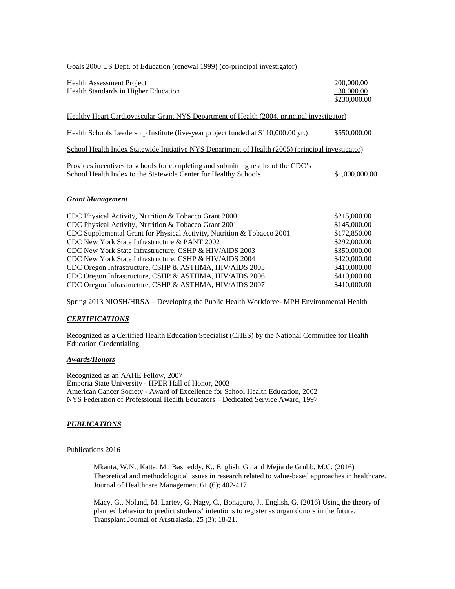## Goals 2000 US Dept. of Education (renewal 1999) (co-principal investigator)

| <b>Health Assessment Project</b><br>Health Standards in Higher Education                                                                             | 200,000.00<br>30.000.00<br>\$230,000.00 |
|------------------------------------------------------------------------------------------------------------------------------------------------------|-----------------------------------------|
| Healthy Heart Cardiovascular Grant NYS Department of Health (2004, principal investigator)                                                           |                                         |
| Health Schools Leadership Institute (five-year project funded at \$110,000.00 yr.)                                                                   | \$550,000.00                            |
| School Health Index Statewide Initiative NYS Department of Health (2005) (principal investigator)                                                    |                                         |
| Provides incentives to schools for completing and submitting results of the CDC's<br>School Health Index to the Statewide Center for Healthy Schools | \$1,000,000.00                          |
| <b>Grant Management</b>                                                                                                                              |                                         |
| $CDC$ $D1$ $D2$ $D3$ $D4$ $D5$ $D6$ $D7$ $D8$ $D9$ $D1$ $D1$ $D1$ $D1$                                                                               | 0.150000                                |

| CDC Physical Activity, Nutrition & Tobacco Grant 2000                  | \$215,000.00 |
|------------------------------------------------------------------------|--------------|
| CDC Physical Activity, Nutrition & Tobacco Grant 2001                  | \$145,000.00 |
| CDC Supplemental Grant for Physical Activity, Nutrition & Tobacco 2001 | \$172,850.00 |
| CDC New York State Infrastructure & PANT 2002                          | \$292,000.00 |
| CDC New York State Infrastructure, CSHP & HIV/AIDS 2003                | \$350,000.00 |
| CDC New York State Infrastructure, CSHP & HIV/AIDS 2004                | \$420,000.00 |
| CDC Oregon Infrastructure, CSHP & ASTHMA, HIV/AIDS 2005                | \$410,000.00 |
| CDC Oregon Infrastructure, CSHP & ASTHMA, HIV/AIDS 2006                | \$410,000.00 |
| CDC Oregon Infrastructure, CSHP & ASTHMA, HIV/AIDS 2007                | \$410,000.00 |
|                                                                        |              |

Spring 2013 NIOSH/HRSA – Developing the Public Health Workforce- MPH Environmental Health

# *CERTIFICATIONS*

Recognized as a Certified Health Education Specialist (CHES) by the National Committee for Health Education Credentialing.

# *Awards/Honors*

Recognized as an AAHE Fellow, 2007 Emporia State University - HPER Hall of Honor, 2003 American Cancer Society - Award of Excellence for School Health Education, 2002 NYS Federation of Professional Health Educators – Dedicated Service Award, 1997

## *PUBLICATIONS*

#### Publications 2016

Mkanta, W.N., Katta, M., Basireddy, K., English, G., and Mejia de Grubb, M.C. (2016) Theoretical and methodological issues in research related to value-based approaches in healthcare. Journal of Healthcare Management 61 (6); 402-417

Macy, G., Noland, M. Lartey, G. Nagy, C., Bonaguro, J., English, G. (2016) Using the theory of planned behavior to predict students' intentions to register as organ donors in the future. Transplant Journal of Australasia, 25 (3); 18-21.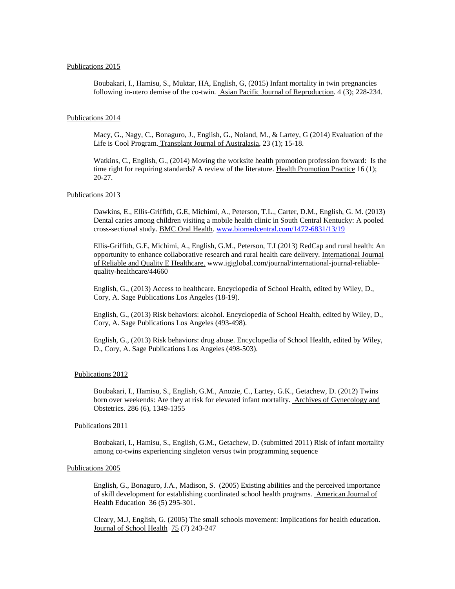#### Publications 2015

Boubakari, I., Hamisu, S., Muktar, HA, English, G, (2015) Infant mortality in twin pregnancies following in-utero demise of the co-twin. Asian Pacific Journal of Reproduction. 4 (3); 228-234.

### Publications 2014

Macy, G., Nagy, C., Bonaguro, J., English, G., Noland, M., & Lartey, G (2014) Evaluation of the Life is Cool Program. Transplant Journal of Australasia, 23 (1); 15-18.

Watkins, C., English, G., (2014) Moving the worksite health promotion profession forward: Is the time right for requiring standards? A review of the literature. Health Promotion Practice 16 (1); 20-27.

#### Publications 2013

Dawkins, E., Ellis-Griffith, G.E, Michimi, A., Peterson, T.L., Carter, D.M., English, G. M. (2013) Dental caries among children visiting a mobile health clinic in South Central Kentucky: A pooled cross-sectional study. BMC Oral Health. [www.biomedcentral.com/1472-6831/13/19](http://www.biomedcentral.com/1472-6831/13/19)

Ellis-Griffith, G.E, Michimi, A., English, G.M., Peterson, T.L(2013) RedCap and rural health: An opportunity to enhance collaborative research and rural health care delivery. International Journal of Reliable and Quality E Healthcare. www.igiglobal.com/journal/international-journal-reliablequality-healthcare/44660

English, G., (2013) Access to healthcare. Encyclopedia of School Health, edited by Wiley, D., Cory, A. Sage Publications Los Angeles (18-19).

English, G., (2013) Risk behaviors: alcohol. Encyclopedia of School Health, edited by Wiley, D., Cory, A. Sage Publications Los Angeles (493-498).

English, G., (2013) Risk behaviors: drug abuse. Encyclopedia of School Health, edited by Wiley, D., Cory, A. Sage Publications Los Angeles (498-503).

#### Publications 2012

Boubakari, I., Hamisu, S., English, G.M., Anozie, C., Lartey, G.K., Getachew, D. (2012) Twins born over weekends: Are they at risk for elevated infant mortality. Archives of Gynecology and Obstetrics. 286 (6), 1349-1355

## Publications 2011

Boubakari, I., Hamisu, S., English, G.M., Getachew, D. (submitted 2011) Risk of infant mortality among co-twins experiencing singleton versus twin programming sequence

#### Publications 2005

English, G., Bonaguro, J.A., Madison, S. (2005) Existing abilities and the perceived importance of skill development for establishing coordinated school health programs. American Journal of Health Education 36 (5) 295-301.

Cleary, M.J, English, G. (2005) The small schools movement: Implications for health education. Journal of School Health 75 (7) 243-247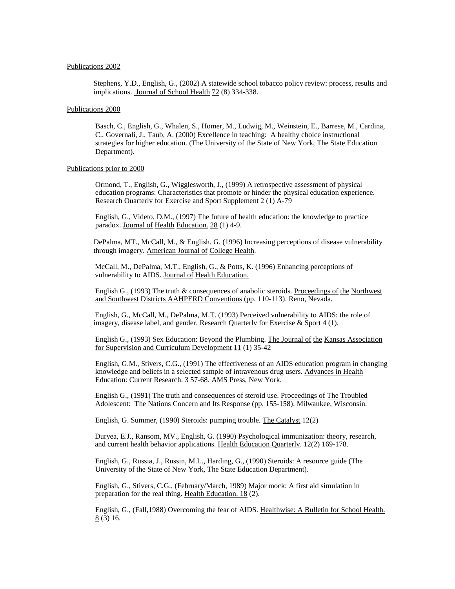#### Publications 2002

Stephens, Y.D., English, G., (2002) A statewide school tobacco policy review: process, results and implications. Journal of School Health 72 (8) 334-338.

#### Publications 2000

Basch, C., English, G., Whalen, S., Homer, M., Ludwig, M., Weinstein, E., Barrese, M., Cardina, C., Governali, J., Taub, A. (2000) Excellence in teaching: A healthy choice instructional strategies for higher education. (The University of the State of New York, The State Education Department).

#### Publications prior to 2000

Ormond, T., English, G., Wigglesworth, J., (1999) A retrospective assessment of physical education programs: Characteristics that promote or hinder the physical education experience. Research Ouarterly for Exercise and Sport Supplement 2 (1) A-79

English, G., Videto, D.M., (1997) The future of health education: the knowledge to practice paradox. Journal of Health Education. 28 (1) 4-9.

DePalma, MT., McCall, M., & English. G. (1996) Increasing perceptions of disease vulnerability through imagery. American Journal of College Health.

McCall, M., DePalma, M.T., English, G., & Potts, K. (1996) Enhancing perceptions of vulnerability to AIDS. Journal of Health Education.

English G., (1993) The truth & consequences of anabolic steroids. Proceedings of the Northwest and Southwest Districts AAHPERD Conventions (pp. 110-113). Reno, Nevada.

English, G., McCall, M., DePalma, M.T. (1993) Perceived vulnerability to AIDS: the role of imagery, disease label, and gender. Research Quarterly for Exercise & Sport  $4(1)$ .

English G., (1993) Sex Education: Beyond the Plumbing. The Journal of the Kansas Association for Supervision and Curriculum Development 11 (1) 35-42

English, G.M., Stivers, C.G., (1991) The effectiveness of an AIDS education program in changing knowledge and beliefs in a selected sample of intravenous drug users. Advances in Health Education: Current Research. 3 57-68. AMS Press, New York.

English G., (1991) The truth and consequences of steroid use. Proceedings of The Troubled Adolescent: The Nations Concern and Its Response (pp. 155-158). Milwaukee, Wisconsin.

English, G. Summer, (1990) Steroids: pumping trouble. The Catalyst 12(2)

Duryea, E.J., Ransom, MV., English, G. (1990) Psychological immunization: theory, research, and current health behavior applications. Health Education Quarterlv. 12(2) 169-178.

English, G., Russia, J., Russin, M.L., Harding, G., (1990) Steroids: A resource guide (The University of the State of New York, The State Education Department).

English, G., Stivers, C.G., (February/March, 1989) Major mock: A first aid simulation in preparation for the real thing. Health Education. 18 (2).

English, G., (Fall,1988) Overcoming the fear of AIDS. Healthwise: A Bulletin for School Health. 8 (3) 16.